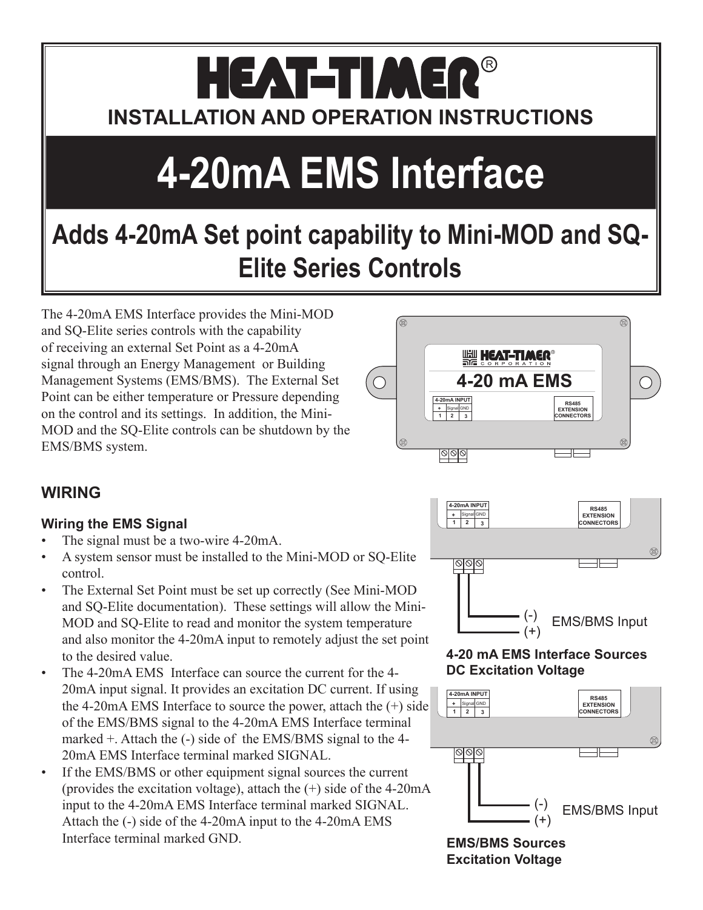## HEAT-TIMER® **INSTALLATION AND OPERATION INSTRUCTIONS**

# **4-20mA EMS Interface**

### **Adds 4-20mA Set point capability to Mini-MOD and SQ-Elite Series Controls**

The 4-20mA EMS Interface provides the Mini-MOD and SQ-Elite series controls with the capability of receiving an external Set Point as a 4-20mA signal through an Energy Management or Building Management Systems (EMS/BMS). The External Set Point can be either temperature or Pressure depending on the control and its settings. In addition, the Mini-MOD and the SQ-Elite controls can be shutdown by the EMS/BMS system.



#### **4-20 mA EMS Interface Sources DC Excitation Voltage**



**EMS/BMS Sources Excitation Voltage**

#### **WIRING**

#### **Wiring the EMS Signal**

- The signal must be a two-wire 4-20mA.
- A system sensor must be installed to the Mini-MOD or SQ-Elite control.
- The External Set Point must be set up correctly (See Mini-MOD) and SQ-Elite documentation). These settings will allow the Mini-MOD and SQ-Elite to read and monitor the system temperature and also monitor the 4-20mA input to remotely adjust the set point to the desired value.
- The 4-20mA EMS Interface can source the current for the 4- 20mA input signal. It provides an excitation DC current. If using the 4-20mA EMS Interface to source the power, attach the (+) side of the EMS/BMS signal to the 4-20mA EMS Interface terminal marked +. Attach the (-) side of the EMS/BMS signal to the 4- 20mA EMS Interface terminal marked SIGNAL.
- If the EMS/BMS or other equipment signal sources the current (provides the excitation voltage), attach the (+) side of the 4-20mA input to the 4-20mA EMS Interface terminal marked SIGNAL. Attach the (-) side of the 4-20mA input to the 4-20mA EMS Interface terminal marked GND.